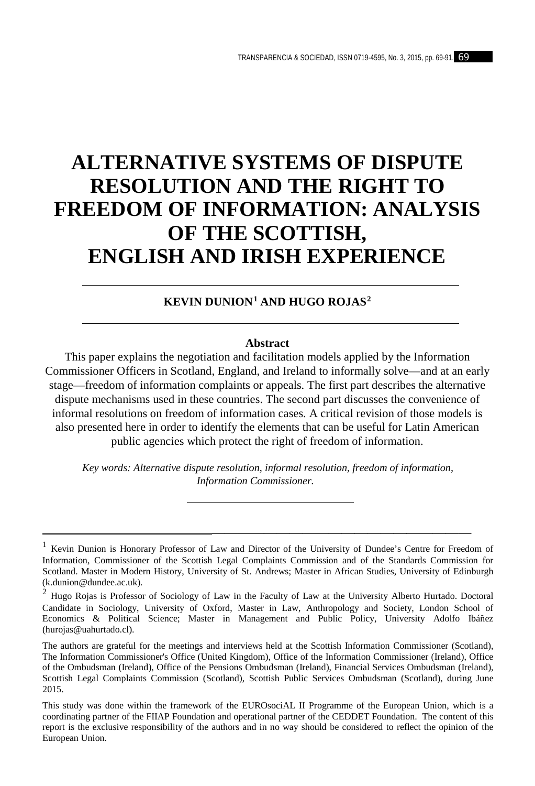# **ALTERNATIVE SYSTEMS OF DISPUTE RESOLUTION AND THE RIGHT TO FREEDOM OF INFORMATION: ANALYSIS OF THE SCOTTISH, ENGLISH AND IRISH EXPERIENCE**

## **KEVIN DUNION[1](#page-0-0) AND HUGO ROJAS[2](#page-0-1)**

#### **Abstract**

This paper explains the negotiation and facilitation models applied by the Information Commissioner Officers in Scotland, England, and Ireland to informally solve—and at an early stage—freedom of information complaints or appeals. The first part describes the alternative dispute mechanisms used in these countries. The second part discusses the convenience of informal resolutions on freedom of information cases. A critical revision of those models is also presented here in order to identify the elements that can be useful for Latin American public agencies which protect the right of freedom of information.

*Key words: Alternative dispute resolution, informal resolution, freedom of information, Information Commissioner.*

————————————————————

<span id="page-0-0"></span><sup>&</sup>lt;sup>1</sup> Kevin Dunion is Honorary Professor of Law and Director of the University of Dundee's Centre for Freedom of Information, Commissioner of the Scottish Legal Complaints Commission and of the Standards Commission for Scotland. Master in Modern History, University of St. Andrews; Master in African Studies, University of Edinburgh (k.dunion@dundee.ac.uk).

<span id="page-0-1"></span><sup>2</sup> Hugo Rojas is Professor of Sociology of Law in the Faculty of Law at the University Alberto Hurtado. Doctoral Candidate in Sociology, University of Oxford, Master in Law, Anthropology and Society, London School of Economics & Political Science; Master in Management and Public Policy, University Adolfo Ibáñez (hurojas@uahurtado.cl).

The authors are grateful for the meetings and interviews held at the Scottish Information Commissioner (Scotland), The Information Commissioner's Office (United Kingdom), Office of the Information Commissioner (Ireland), Office of the Ombudsman (Ireland), Office of the Pensions Ombudsman (Ireland), Financial Services Ombudsman (Ireland), Scottish Legal Complaints Commission (Scotland), Scottish Public Services Ombudsman (Scotland), during June 2015.

This study was done within the framework of the EUROsociAL II Programme of the European Union, which is a coordinating partner of the FIIAP Foundation and operational partner of the CEDDET Foundation. The content of this report is the exclusive responsibility of the authors and in no way should be considered to reflect the opinion of the European Union.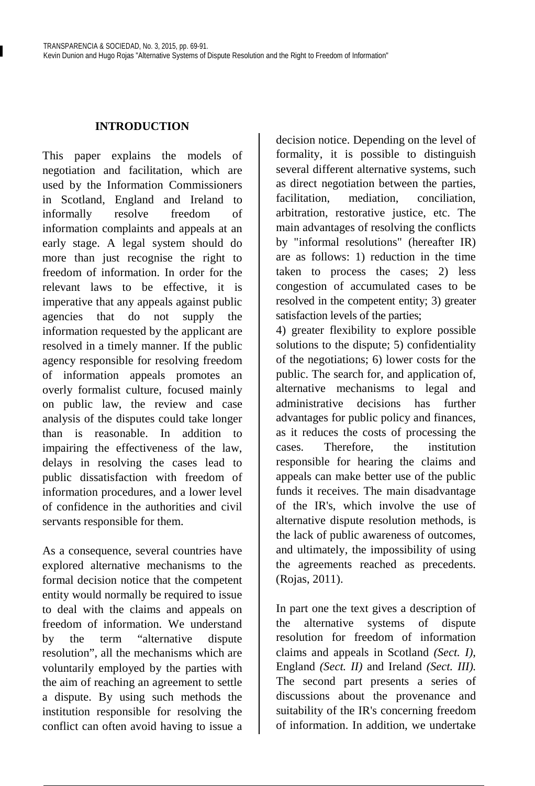## **INTRODUCTION**

This paper explains the models of negotiation and facilitation, which are used by the Information Commissioners in Scotland, England and Ireland to informally resolve freedom of information complaints and appeals at an early stage. A legal system should do more than just recognise the right to freedom of information. In order for the relevant laws to be effective, it is imperative that any appeals against public agencies that do not supply the information requested by the applicant are resolved in a timely manner. If the public agency responsible for resolving freedom of information appeals promotes an overly formalist culture, focused mainly on public law, the review and case analysis of the disputes could take longer than is reasonable. In addition to impairing the effectiveness of the law, delays in resolving the cases lead to public dissatisfaction with freedom of information procedures, and a lower level of confidence in the authorities and civil servants responsible for them.

As a consequence, several countries have explored alternative mechanisms to the formal decision notice that the competent entity would normally be required to issue to deal with the claims and appeals on freedom of information. We understand by the term "alternative dispute resolution", all the mechanisms which are voluntarily employed by the parties with the aim of reaching an agreement to settle a dispute. By using such methods the institution responsible for resolving the conflict can often avoid having to issue a

decision notice. Depending on the level of formality, it is possible to distinguish several different alternative systems, such as direct negotiation between the parties, facilitation, mediation, conciliation, arbitration, restorative justice, etc. The main advantages of resolving the conflicts by "informal resolutions" (hereafter IR) are as follows: 1) reduction in the time taken to process the cases; 2) less congestion of accumulated cases to be resolved in the competent entity; 3) greater satisfaction levels of the parties;

4) greater flexibility to explore possible solutions to the dispute; 5) confidentiality of the negotiations; 6) lower costs for the public. The search for, and application of, alternative mechanisms to legal and administrative decisions has further advantages for public policy and finances, as it reduces the costs of processing the cases. Therefore, the institution responsible for hearing the claims and appeals can make better use of the public funds it receives. The main disadvantage of the IR's, which involve the use of alternative dispute resolution methods, is the lack of public awareness of outcomes, and ultimately, the impossibility of using the agreements reached as precedents. (Rojas, 2011).

In part one the text gives a description of the alternative systems of dispute resolution for freedom of information claims and appeals in Scotland *(Sect. I)*, England *(Sect. II)* and Ireland *(Sect. III).* The second part presents a series of discussions about the provenance and suitability of the IR's concerning freedom of information. In addition, we undertake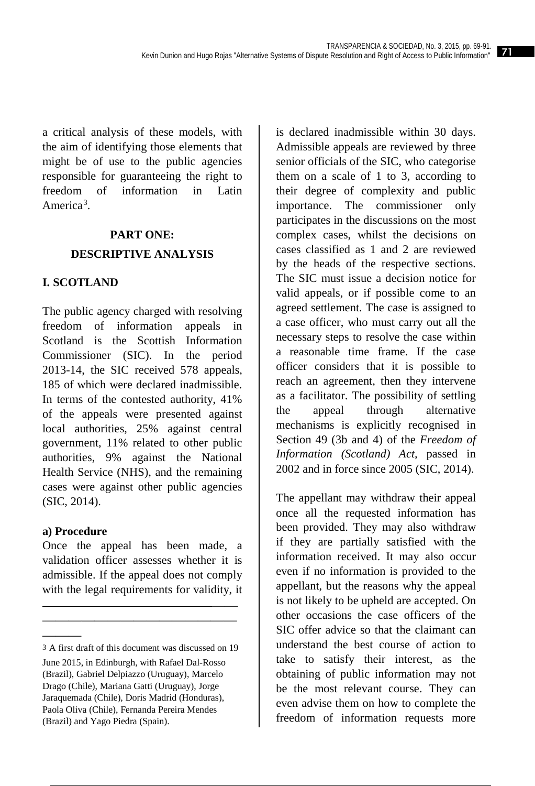a critical analysis of these models, with the aim of identifying those elements that might be of use to the public agencies responsible for guaranteeing the right to freedom of information in Latin America<sup>[3](#page-2-0)</sup>.

## **PART ONE: DESCRIPTIVE ANALYSIS**

## **I. SCOTLAND**

The public agency charged with resolving freedom of information appeals in Scotland is the Scottish Information Commissioner (SIC). In the period 2013-14, the SIC received 578 appeals, 185 of which were declared inadmissible. In terms of the contested authority, 41% of the appeals were presented against local authorities, 25% against central government, 11% related to other public authorities, 9% against the National Health Service (NHS), and the remaining cases were against other public agencies (SIC, 2014).

## **a) Procedure**

———

Once the appeal has been made, a validation officer assesses whether it is admissible. If the appeal does not comply with the legal requirements for validity, it

 —— ———————————————

is declared inadmissible within 30 days. Admissible appeals are reviewed by three senior officials of the SIC, who categorise them on a scale of 1 to 3, according to their degree of complexity and public importance. The commissioner only participates in the discussions on the most complex cases, whilst the decisions on cases classified as 1 and 2 are reviewed by the heads of the respective sections. The SIC must issue a decision notice for valid appeals, or if possible come to an agreed settlement. The case is assigned to a case officer, who must carry out all the necessary steps to resolve the case within a reasonable time frame. If the case officer considers that it is possible to reach an agreement, then they intervene as a facilitator. The possibility of settling the appeal through alternative mechanisms is explicitly recognised in Section 49 (3b and 4) of the *Freedom of Information (Scotland) Act,* passed in 2002 and in force since 2005 (SIC, 2014).

The appellant may withdraw their appeal once all the requested information has been provided. They may also withdraw if they are partially satisfied with the information received. It may also occur even if no information is provided to the appellant, but the reasons why the appeal is not likely to be upheld are accepted. On other occasions the case officers of the SIC offer advice so that the claimant can understand the best course of action to take to satisfy their interest, as the obtaining of public information may not be the most relevant course. They can even advise them on how to complete the freedom of information requests more

<span id="page-2-0"></span><sup>3</sup> A first draft of this document was discussed on 19 June 2015, in Edinburgh, with Rafael Dal-Rosso (Brazil), Gabriel Delpiazzo (Uruguay), Marcelo Drago (Chile), Mariana Gatti (Uruguay), Jorge Jaraquemada (Chile), Doris Madrid (Honduras), Paola Oliva (Chile), Fernanda Pereira Mendes (Brazil) and Yago Piedra (Spain).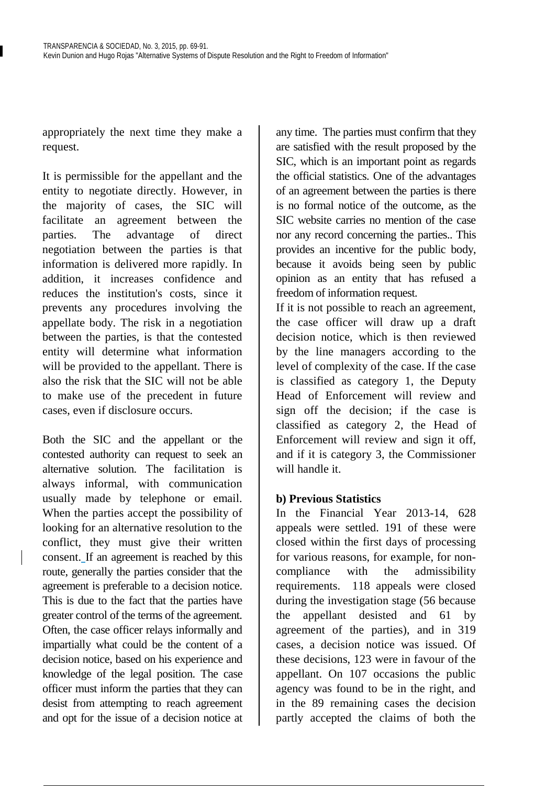appropriately the next time they make a request.

It is permissible for the appellant and the entity to negotiate directly. However, in the majority of cases, the SIC will facilitate an agreement between the parties. The advantage of direct negotiation between the parties is that information is delivered more rapidly. In addition, it increases confidence and reduces the institution's costs, since it prevents any procedures involving the appellate body. The risk in a negotiation between the parties, is that the contested entity will determine what information will be provided to the appellant. There is also the risk that the SIC will not be able to make use of the precedent in future cases, even if disclosure occurs.

Both the SIC and the appellant or the contested authority can request to seek an alternative solution. The facilitation is always informal, with communication usually made by telephone or email. When the parties accept the possibility of looking for an alternative resolution to the conflict, they must give their written consent. If an agreement is reached by this route, generally the parties consider that the agreement is preferable to a decision notice. This is due to the fact that the parties have greater control of the terms of the agreement. Often, the case officer relays informally and impartially what could be the content of a decision notice, based on his experience and knowledge of the legal position. The case officer must inform the parties that they can desist from attempting to reach agreement and opt for the issue of a decision notice at any time. The parties must confirm that they are satisfied with the result proposed by the SIC, which is an important point as regards the official statistics. One of the advantages of an agreement between the parties is there is no formal notice of the outcome, as the SIC website carries no mention of the case nor any record concerning the parties.. This provides an incentive for the public body, because it avoids being seen by public opinion as an entity that has refused a freedom of information request.

If it is not possible to reach an agreement, the case officer will draw up a draft decision notice, which is then reviewed by the line managers according to the level of complexity of the case. If the case is classified as category 1, the Deputy Head of Enforcement will review and sign off the decision; if the case is classified as category 2, the Head of Enforcement will review and sign it off, and if it is category 3, the Commissioner will handle it.

## **b) Previous Statistics**

In the Financial Year 2013-14, 628 appeals were settled. 191 of these were closed within the first days of processing for various reasons, for example, for noncompliance with the admissibility requirements. 118 appeals were closed during the investigation stage (56 because the appellant desisted and 61 by agreement of the parties), and in 319 cases, a decision notice was issued. Of these decisions, 123 were in favour of the appellant. On 107 occasions the public agency was found to be in the right, and in the 89 remaining cases the decision partly accepted the claims of both the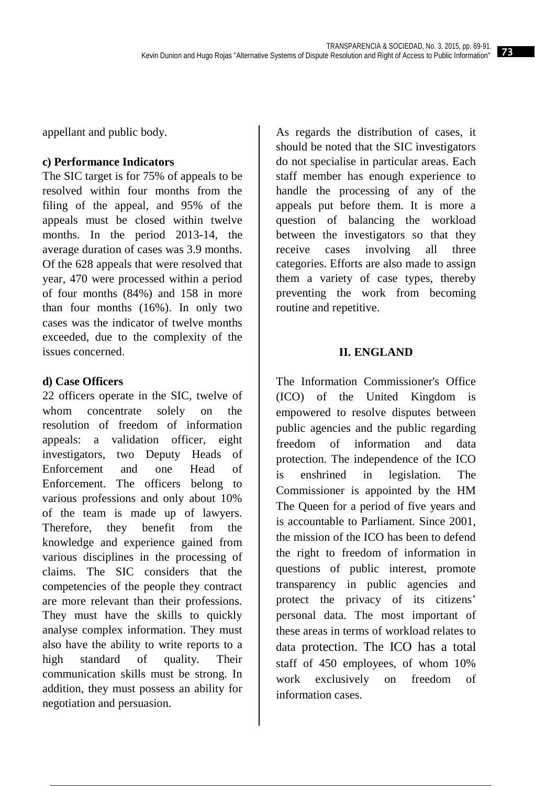appellant and public body.

## **c) Performance Indicators**

The SIC target is for 75% of appeals to be resolved within four months from the filing of the appeal, and 95% of the appeals must be closed within twelve months. In the period 2013-14, the average duration of cases was 3.9 months. Of the 628 appeals that were resolved that year, 470 were processed within a period of four months (84%) and 158 in more than four months (16%). In only two cases was the indicator of twelve months exceeded, due to the complexity of the issues concerned.

#### **d) Case Officers**

22 officers operate in the SIC, twelve of whom concentrate solely on the resolution of freedom of information appeals: a validation officer, eight investigators, two Deputy Heads of Enforcement and one Head of Enforcement. The officers belong to various professions and only about 10% of the team is made up of lawyers. Therefore, they benefit from the knowledge and experience gained from various disciplines in the processing of claims. The SIC considers that the competencies of the people they contract are more relevant than their professions. They must have the skills to quickly analyse complex information. They must also have the ability to write reports to a high standard of quality. Their communication skills must be strong. In addition, they must possess an ability for negotiation and persuasion.

As regards the distribution of cases, it should be noted that the SIC investigators do not specialise in particular areas. Each staff member has enough experience to handle the processing of any of the appeals put before them. It is more a question of balancing the workload between the investigators so that they receive cases involving all three categories. Efforts are also made to assign them a variety of case types, thereby preventing the work from becoming routine and repetitive.

## **II. ENGLAND**

The Information Commissioner's Office (ICO) of the United Kingdom is empowered to resolve disputes between public agencies and the public regarding freedom of information and data protection. The independence of the ICO is enshrined in legislation. The Commissioner is appointed by the HM The Queen for a period of five years and is accountable to Parliament. Since 2001, the mission of the ICO has been to defend the right to freedom of information in questions of public interest, promote transparency in public agencies and protect the privacy of its citizens' personal data. The most important of these areas in terms of workload relates to data protection. The ICO has a total staff of 450 employees, of whom 10% work exclusively on freedom of information cases.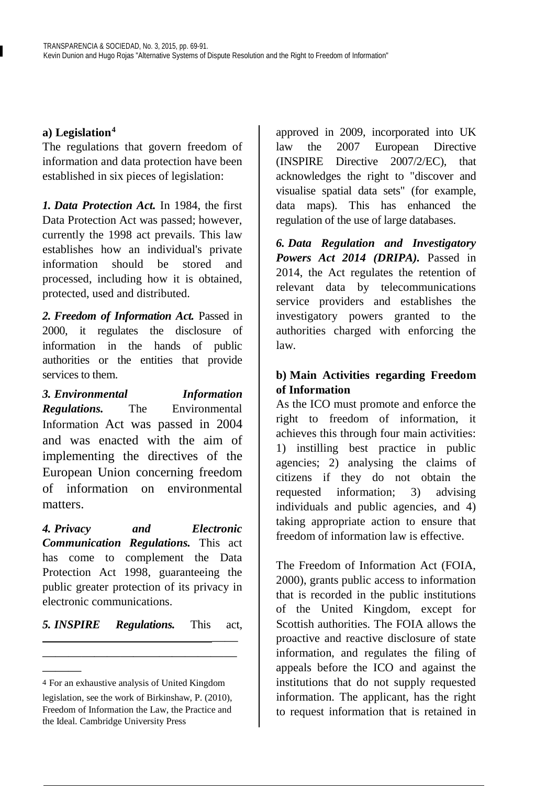## **a) Legislation[4](#page-5-0)**

The regulations that govern freedom of information and data protection have been established in six pieces of legislation:

*1. Data Protection Act.* In 1984, the first Data Protection Act was passed; however, currently the 1998 act prevails. This law establishes how an individual's private information should be stored and processed, including how it is obtained, protected, used and distributed.

*2. Freedom of Information Act.* Passed in 2000, it regulates the disclosure of information in the hands of public authorities or the entities that provide services to them.

*3. Environmental Information Regulations.* The Environmental Information Act was passed in 2004 and was enacted with the aim of implementing the directives of the European Union concerning freedom of information on environmental matters.

*4. Privacy and Electronic Communication Regulations.* This act has come to complement the Data Protection Act 1998, guaranteeing the public greater protection of its privacy in electronic communications.

## *5. INSPIRE Regulations.* This act, ——

———————————————

approved in 2009, incorporated into UK law the 2007 European Directive (INSPIRE Directive 2007/2/EC), that acknowledges the right to "discover and visualise spatial data sets" (for example, data maps). This has enhanced the regulation of the use of large databases.

*6. Data Regulation and Investigatory Powers Act 2014 (DRIPA).* Passed in 2014, the Act regulates the retention of relevant data by telecommunications service providers and establishes the investigatory powers granted to the authorities charged with enforcing the law.

## **b) Main Activities regarding Freedom of Information**

As the ICO must promote and enforce the right to freedom of information, it achieves this through four main activities: 1) instilling best practice in public agencies; 2) analysing the claims of citizens if they do not obtain the requested information; 3) advising individuals and public agencies, and 4) taking appropriate action to ensure that freedom of information law is effective.

The Freedom of Information Act (FOIA, 2000), grants public access to information that is recorded in the public institutions of the United Kingdom, except for Scottish authorities. The FOIA allows the proactive and reactive disclosure of state information, and regulates the filing of appeals before the ICO and against the institutions that do not supply requested information. The applicant, has the right to request information that is retained in

<span id="page-5-0"></span><sup>———</sup> 4 For an exhaustive analysis of United Kingdom

legislation, see the work of Birkinshaw, P. (2010), Freedom of Information the Law, the Practice and the Ideal. Cambridge University Press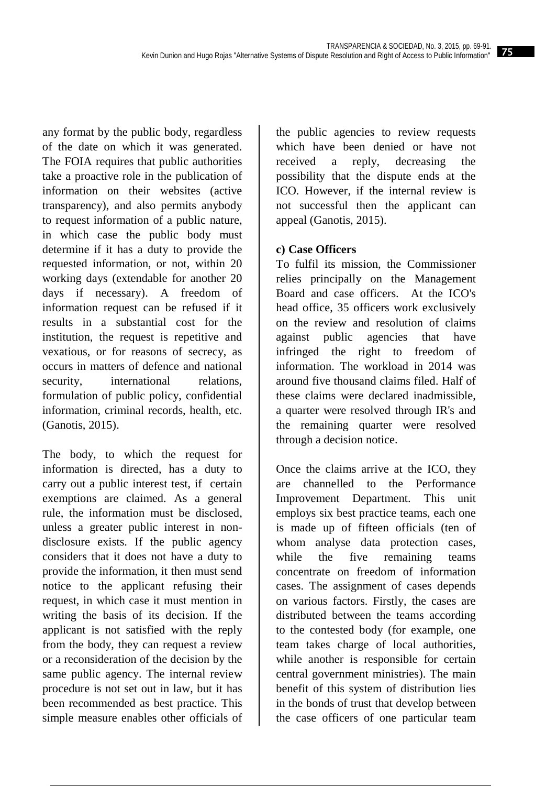any format by the public body, regardless of the date on which it was generated. The FOIA requires that public authorities take a proactive role in the publication of information on their websites (active transparency), and also permits anybody to request information of a public nature, in which case the public body must determine if it has a duty to provide the requested information, or not, within 20 working days (extendable for another 20 days if necessary). A freedom of information request can be refused if it results in a substantial cost for the institution, the request is repetitive and vexatious, or for reasons of secrecy, as occurs in matters of defence and national security, international relations, formulation of public policy, confidential information, criminal records, health, etc. (Ganotis, 2015).

The body, to which the request for information is directed, has a duty to carry out a public interest test, if certain exemptions are claimed. As a general rule, the information must be disclosed, unless a greater public interest in nondisclosure exists. If the public agency considers that it does not have a duty to provide the information, it then must send notice to the applicant refusing their request, in which case it must mention in writing the basis of its decision. If the applicant is not satisfied with the reply from the body, they can request a review or a reconsideration of the decision by the same public agency. The internal review procedure is not set out in law, but it has been recommended as best practice. This simple measure enables other officials of

the public agencies to review requests which have been denied or have not received a reply, decreasing the possibility that the dispute ends at the ICO. However, if the internal review is not successful then the applicant can appeal (Ganotis, 2015).

## **c) Case Officers**

To fulfil its mission, the Commissioner relies principally on the Management Board and case officers. At the ICO's head office, 35 officers work exclusively on the review and resolution of claims against public agencies that have infringed the right to freedom of information. The workload in 2014 was around five thousand claims filed. Half of these claims were declared inadmissible, a quarter were resolved through IR's and the remaining quarter were resolved through a decision notice.

Once the claims arrive at the ICO, they are channelled to the Performance Improvement Department. This unit employs six best practice teams, each one is made up of fifteen officials (ten of whom analyse data protection cases, while the five remaining teams concentrate on freedom of information cases. The assignment of cases depends on various factors. Firstly, the cases are distributed between the teams according to the contested body (for example, one team takes charge of local authorities, while another is responsible for certain central government ministries). The main benefit of this system of distribution lies in the bonds of trust that develop between the case officers of one particular team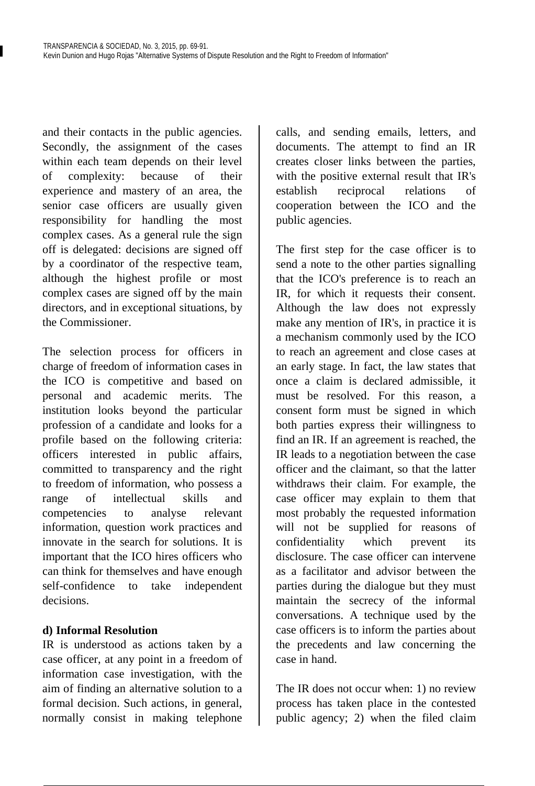and their contacts in the public agencies. Secondly, the assignment of the cases within each team depends on their level of complexity: because of their experience and mastery of an area, the senior case officers are usually given responsibility for handling the most complex cases. As a general rule the sign off is delegated: decisions are signed off by a coordinator of the respective team, although the highest profile or most complex cases are signed off by the main directors, and in exceptional situations, by the Commissioner.

The selection process for officers in charge of freedom of information cases in the ICO is competitive and based on personal and academic merits. The institution looks beyond the particular profession of a candidate and looks for a profile based on the following criteria: officers interested in public affairs, committed to transparency and the right to freedom of information, who possess a range of intellectual skills and competencies to analyse relevant information, question work practices and innovate in the search for solutions. It is important that the ICO hires officers who can think for themselves and have enough self-confidence to take independent decisions.

## **d) Informal Resolution**

IR is understood as actions taken by a case officer, at any point in a freedom of information case investigation, with the aim of finding an alternative solution to a formal decision. Such actions, in general, normally consist in making telephone

calls, and sending emails, letters, and documents. The attempt to find an IR creates closer links between the parties, with the positive external result that IR's establish reciprocal relations of cooperation between the ICO and the public agencies.

The first step for the case officer is to send a note to the other parties signalling that the ICO's preference is to reach an IR, for which it requests their consent. Although the law does not expressly make any mention of IR's, in practice it is a mechanism commonly used by the ICO to reach an agreement and close cases at an early stage. In fact, the law states that once a claim is declared admissible, it must be resolved. For this reason, a consent form must be signed in which both parties express their willingness to find an IR. If an agreement is reached, the IR leads to a negotiation between the case officer and the claimant, so that the latter withdraws their claim. For example, the case officer may explain to them that most probably the requested information will not be supplied for reasons of confidentiality which prevent its disclosure. The case officer can intervene as a facilitator and advisor between the parties during the dialogue but they must maintain the secrecy of the informal conversations. A technique used by the case officers is to inform the parties about the precedents and law concerning the case in hand.

The IR does not occur when: 1) no review process has taken place in the contested public agency; 2) when the filed claim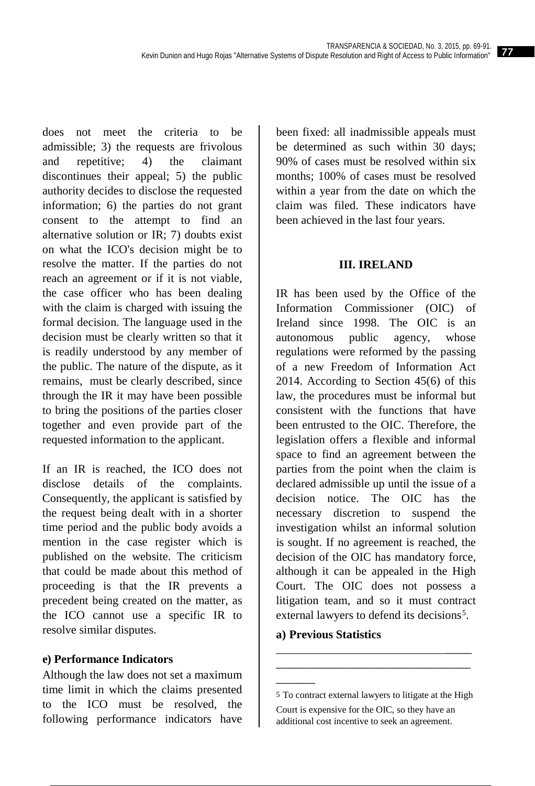does not meet the criteria to be admissible; 3) the requests are frivolous and repetitive; 4) the claimant discontinues their appeal; 5) the public authority decides to disclose the requested information; 6) the parties do not grant consent to the attempt to find an alternative solution or IR; 7) doubts exist on what the ICO's decision might be to resolve the matter. If the parties do not reach an agreement or if it is not viable, the case officer who has been dealing with the claim is charged with issuing the formal decision. The language used in the decision must be clearly written so that it is readily understood by any member of the public. The nature of the dispute, as it remains, must be clearly described, since through the IR it may have been possible to bring the positions of the parties closer together and even provide part of the requested information to the applicant.

If an IR is reached, the ICO does not disclose details of the complaints. Consequently, the applicant is satisfied by the request being dealt with in a shorter time period and the public body avoids a mention in the case register which is published on the website. The criticism that could be made about this method of proceeding is that the IR prevents a precedent being created on the matter, as the ICO cannot use a specific IR to resolve similar disputes.

## **e) Performance Indicators**

<span id="page-8-0"></span>Although the law does not set a maximum time limit in which the claims presented to the ICO must be resolved, the following performance indicators have

been fixed: all inadmissible appeals must be determined as such within 30 days; 90% of cases must be resolved within six months: 100% of cases must be resolved within a year from the date on which the claim was filed. These indicators have been achieved in the last four years.

#### **III. IRELAND**

IR has been used by the Office of the Information Commissioner (OIC) of Ireland since 1998. The OIC is an autonomous public agency, whose regulations were reformed by the passing of a new Freedom of Information Act 2014. According to Section 45(6) of this law, the procedures must be informal but consistent with the functions that have been entrusted to the OIC. Therefore, the legislation offers a flexible and informal space to find an agreement between the parties from the point when the claim is declared admissible up until the issue of a decision notice. The OIC has the necessary discretion to suspend the investigation whilst an informal solution is sought. If no agreement is reached, the decision of the OIC has mandatory force, although it can be appealed in the High Court. The OIC does not possess a litigation team, and so it must contract external lawyers to defend its decisions<sup>[5](#page-8-0)</sup>.

#### **a) Previous Statistics**

———

 —— ———————————————

<sup>5</sup> To contract external lawyers to litigate at the High Court is expensive for the OIC, so they have an additional cost incentive to seek an agreement.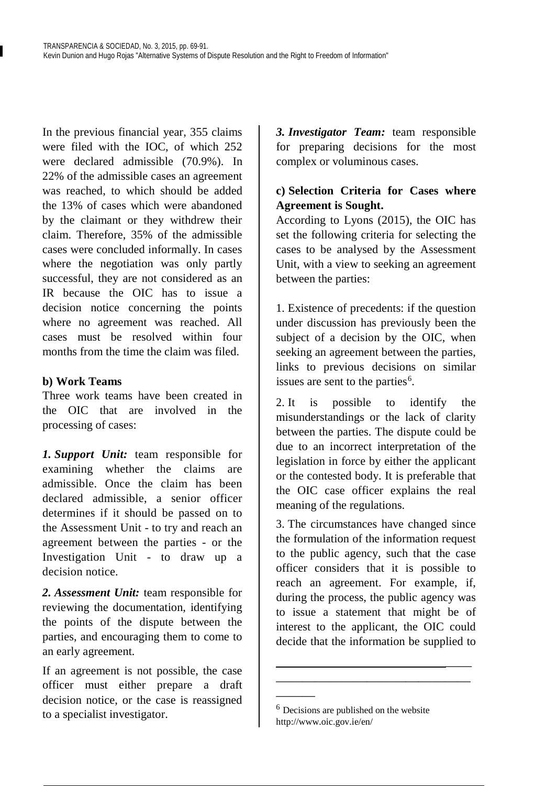In the previous financial year, 355 claims were filed with the IOC, of which 252 were declared admissible (70.9%). In 22% of the admissible cases an agreement was reached, to which should be added the 13% of cases which were abandoned by the claimant or they withdrew their claim. Therefore, 35% of the admissible cases were concluded informally. In cases where the negotiation was only partly successful, they are not considered as an IR because the OIC has to issue a decision notice concerning the points where no agreement was reached. All cases must be resolved within four months from the time the claim was filed.

## **b) Work Teams**

Three work teams have been created in the OIC that are involved in the processing of cases:

*1. Support Unit:* team responsible for examining whether the claims are admissible. Once the claim has been declared admissible, a senior officer determines if it should be passed on to the Assessment Unit - to try and reach an agreement between the parties - or the Investigation Unit - to draw up a decision notice.

*2. Assessment Unit:* team responsible for reviewing the documentation, identifying the points of the dispute between the parties, and encouraging them to come to an early agreement.

<span id="page-9-0"></span>If an agreement is not possible, the case officer must either prepare a draft decision notice, or the case is reassigned to a specialist investigator.

*3. Investigator Team:* team responsible for preparing decisions for the most complex or voluminous cases.

## **c) Selection Criteria for Cases where Agreement is Sought.**

According to Lyons (2015), the OIC has set the following criteria for selecting the cases to be analysed by the Assessment Unit, with a view to seeking an agreement between the parties:

1. Existence of precedents: if the question under discussion has previously been the subject of a decision by the OIC, when seeking an agreement between the parties, links to previous decisions on similar issues are sent to the parties<sup>[6](#page-9-0)</sup>.

2. It is possible to identify the misunderstandings or the lack of clarity between the parties. The dispute could be due to an incorrect interpretation of the legislation in force by either the applicant or the contested body. It is preferable that the OIC case officer explains the real meaning of the regulations.

3. The circumstances have changed since the formulation of the information request to the public agency, such that the case officer considers that it is possible to reach an agreement. For example, if, during the process, the public agency was to issue a statement that might be of interest to the applicant, the OIC could decide that the information be supplied to

 —— ———————————————

———

<sup>&</sup>lt;sup>6</sup> Decisions are published on the website http://www.oic.gov.ie/en/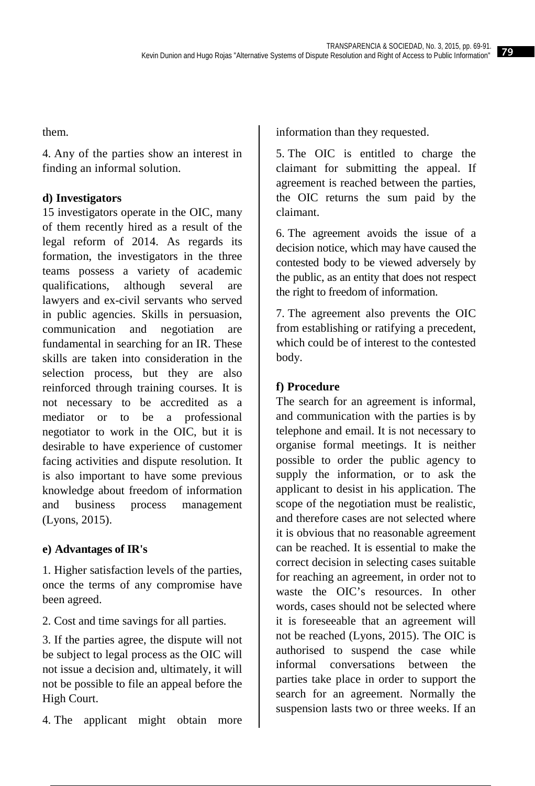them.

4. Any of the parties show an interest in finding an informal solution.

## **d) Investigators**

15 investigators operate in the OIC, many of them recently hired as a result of the legal reform of 2014. As regards its formation, the investigators in the three teams possess a variety of academic qualifications, although several are lawyers and ex-civil servants who served in public agencies. Skills in persuasion, communication and negotiation are fundamental in searching for an IR. These skills are taken into consideration in the selection process, but they are also reinforced through training courses. It is not necessary to be accredited as a mediator or to be a professional negotiator to work in the OIC, but it is desirable to have experience of customer facing activities and dispute resolution. It is also important to have some previous knowledge about freedom of information and business process management (Lyons, 2015).

## **e) Advantages of IR's**

1. Higher satisfaction levels of the parties, once the terms of any compromise have been agreed.

2. Cost and time savings for all parties.

3. If the parties agree, the dispute will not be subject to legal process as the OIC will not issue a decision and, ultimately, it will not be possible to file an appeal before the High Court.

4. The applicant might obtain more

information than they requested.

5. The OIC is entitled to charge the claimant for submitting the appeal. If agreement is reached between the parties, the OIC returns the sum paid by the claimant.

6. The agreement avoids the issue of a decision notice, which may have caused the contested body to be viewed adversely by the public, as an entity that does not respect the right to freedom of information.

7. The agreement also prevents the OIC from establishing or ratifying a precedent, which could be of interest to the contested body.

## **f) Procedure**

The search for an agreement is informal, and communication with the parties is by telephone and email. It is not necessary to organise formal meetings. It is neither possible to order the public agency to supply the information, or to ask the applicant to desist in his application. The scope of the negotiation must be realistic, and therefore cases are not selected where it is obvious that no reasonable agreement can be reached. It is essential to make the correct decision in selecting cases suitable for reaching an agreement, in order not to waste the OIC's resources. In other words, cases should not be selected where it is foreseeable that an agreement will not be reached (Lyons, 2015). The OIC is authorised to suspend the case while informal conversations between the parties take place in order to support the search for an agreement. Normally the suspension lasts two or three weeks. If an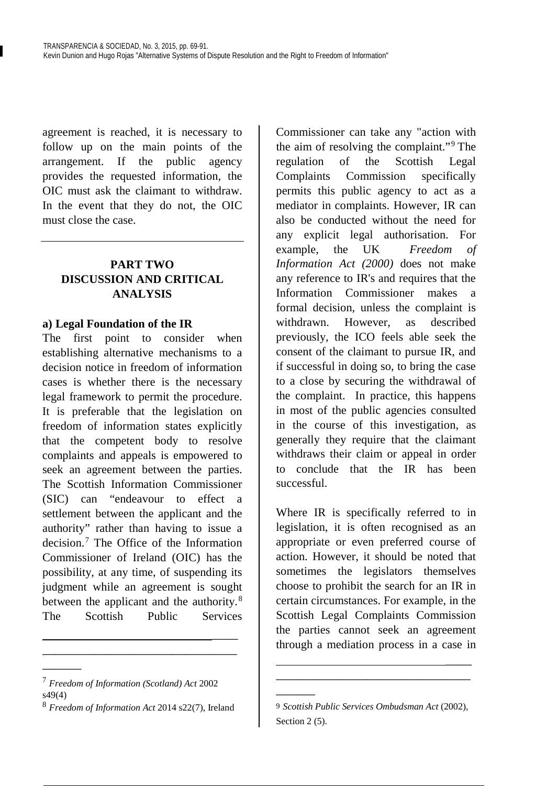agreement is reached, it is necessary to follow up on the main points of the arrangement. If the public agency provides the requested information, the OIC must ask the claimant to withdraw. In the event that they do not, the OIC must close the case.

## **PART TWO DISCUSSION AND CRITICAL ANALYSIS**

#### **a) Legal Foundation of the IR**

The first point to consider when establishing alternative mechanisms to a decision notice in freedom of information cases is whether there is the necessary legal framework to permit the procedure. It is preferable that the legislation on freedom of information states explicitly that the competent body to resolve complaints and appeals is empowered to seek an agreement between the parties. The Scottish Information Commissioner (SIC) can "endeavour to effect a settlement between the applicant and the authority" rather than having to issue a decision.<sup>[7](#page-11-0)</sup> The Office of the Information. Commissioner of Ireland (OIC) has the possibility, at any time, of suspending its judgment while an agreement is sought between the applicant and the authority.<sup>[8](#page-11-1)</sup> The Scottish Public Services

———

<u>—————————————————————</u> ———————————————

Commissioner can take any "action with the aim of resolving the complaint."[9](#page-11-2) The regulation of the Scottish Legal Complaints Commission specifically permits this public agency to act as a mediator in complaints. However, IR can also be conducted without the need for any explicit legal authorisation. For example, the UK *Freedom of Information Act (2000)* does not make any reference to IR's and requires that the Information Commissioner makes a formal decision, unless the complaint is withdrawn. However, as described previously, the ICO feels able seek the consent of the claimant to pursue IR, and if successful in doing so, to bring the case to a close by securing the withdrawal of the complaint. In practice, this happens in most of the public agencies consulted in the course of this investigation, as generally they require that the claimant withdraws their claim or appeal in order to conclude that the IR has been successful.

Where IR is specifically referred to in legislation, it is often recognised as an appropriate or even preferred course of action. However, it should be noted that sometimes the legislators themselves choose to prohibit the search for an IR in certain circumstances. For example, in the Scottish Legal Complaints Commission the parties cannot seek an agreement through a mediation process in a case in

———

 —— ———————————————

<span id="page-11-0"></span><sup>7</sup> *Freedom of Information (Scotland) Act* 2002 s49(4)

<span id="page-11-2"></span><span id="page-11-1"></span><sup>8</sup> *Freedom of Information Act* 2014 s22(7), Ireland

<sup>9</sup> *Scottish Public Services Ombudsman Act* (2002), Section 2 (5).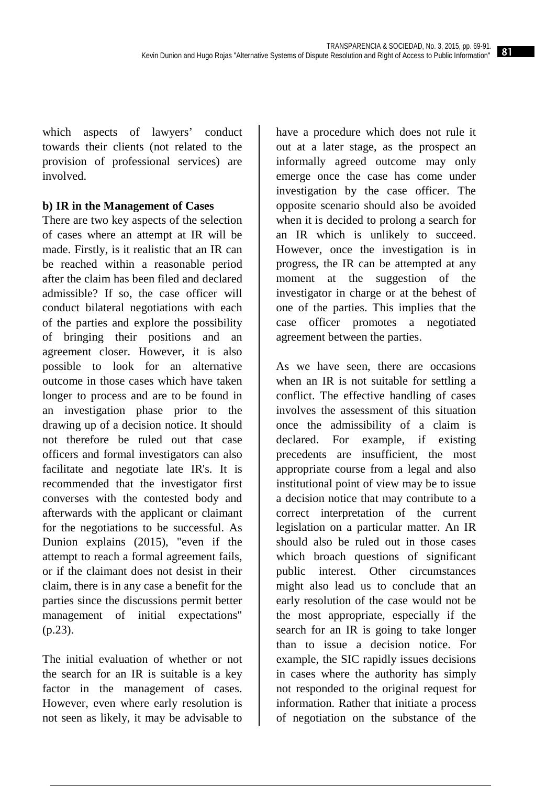which aspects of lawyers' conduct towards their clients (not related to the provision of professional services) are involved.

## **b) IR in the Management of Cases**

There are two key aspects of the selection of cases where an attempt at IR will be made. Firstly, is it realistic that an IR can be reached within a reasonable period after the claim has been filed and declared admissible? If so, the case officer will conduct bilateral negotiations with each of the parties and explore the possibility of bringing their positions and an agreement closer. However, it is also possible to look for an alternative outcome in those cases which have taken longer to process and are to be found in an investigation phase prior to the drawing up of a decision notice. It should not therefore be ruled out that case officers and formal investigators can also facilitate and negotiate late IR's. It is recommended that the investigator first converses with the contested body and afterwards with the applicant or claimant for the negotiations to be successful. As Dunion explains (2015), "even if the attempt to reach a formal agreement fails, or if the claimant does not desist in their claim, there is in any case a benefit for the parties since the discussions permit better management of initial expectations" (p.23).

The initial evaluation of whether or not the search for an IR is suitable is a key factor in the management of cases. However, even where early resolution is not seen as likely, it may be advisable to

have a procedure which does not rule it out at a later stage, as the prospect an informally agreed outcome may only emerge once the case has come under investigation by the case officer. The opposite scenario should also be avoided when it is decided to prolong a search for an IR which is unlikely to succeed. However, once the investigation is in progress, the IR can be attempted at any moment at the suggestion of the investigator in charge or at the behest of one of the parties. This implies that the case officer promotes a negotiated agreement between the parties.

As we have seen, there are occasions when an IR is not suitable for settling a conflict. The effective handling of cases involves the assessment of this situation once the admissibility of a claim is declared. For example, if existing precedents are insufficient, the most appropriate course from a legal and also institutional point of view may be to issue a decision notice that may contribute to a correct interpretation of the current legislation on a particular matter. An IR should also be ruled out in those cases which broach questions of significant public interest. Other circumstances might also lead us to conclude that an early resolution of the case would not be the most appropriate, especially if the search for an IR is going to take longer than to issue a decision notice. For example, the SIC rapidly issues decisions in cases where the authority has simply not responded to the original request for information. Rather that initiate a process of negotiation on the substance of the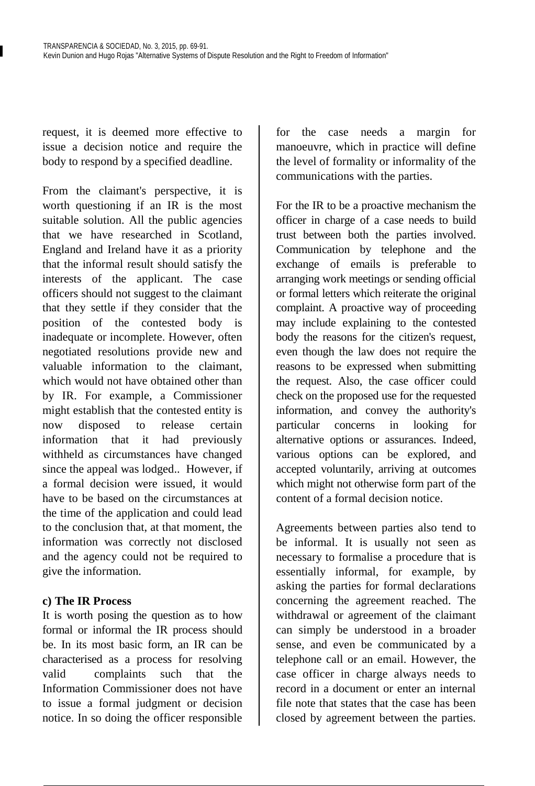request, it is deemed more effective to issue a decision notice and require the body to respond by a specified deadline.

From the claimant's perspective, it is worth questioning if an IR is the most suitable solution. All the public agencies that we have researched in Scotland, England and Ireland have it as a priority that the informal result should satisfy the interests of the applicant. The case officers should not suggest to the claimant that they settle if they consider that the position of the contested body is inadequate or incomplete. However, often negotiated resolutions provide new and valuable information to the claimant, which would not have obtained other than by IR. For example, a Commissioner might establish that the contested entity is now disposed to release certain information that it had previously withheld as circumstances have changed since the appeal was lodged.. However, if a formal decision were issued, it would have to be based on the circumstances at the time of the application and could lead to the conclusion that, at that moment, the information was correctly not disclosed and the agency could not be required to give the information.

## **c) The IR Process**

It is worth posing the question as to how formal or informal the IR process should be. In its most basic form, an IR can be characterised as a process for resolving valid complaints such that the Information Commissioner does not have to issue a formal judgment or decision notice. In so doing the officer responsible

for the case needs a margin for manoeuvre, which in practice will define the level of formality or informality of the communications with the parties.

For the IR to be a proactive mechanism the officer in charge of a case needs to build trust between both the parties involved. Communication by telephone and the exchange of emails is preferable to arranging work meetings or sending official or formal letters which reiterate the original complaint. A proactive way of proceeding may include explaining to the contested body the reasons for the citizen's request, even though the law does not require the reasons to be expressed when submitting the request. Also, the case officer could check on the proposed use for the requested information, and convey the authority's particular concerns in looking for alternative options or assurances. Indeed, various options can be explored, and accepted voluntarily, arriving at outcomes which might not otherwise form part of the content of a formal decision notice.

Agreements between parties also tend to be informal. It is usually not seen as necessary to formalise a procedure that is essentially informal, for example, by asking the parties for formal declarations concerning the agreement reached. The withdrawal or agreement of the claimant can simply be understood in a broader sense, and even be communicated by a telephone call or an email. However, the case officer in charge always needs to record in a document or enter an internal file note that states that the case has been closed by agreement between the parties.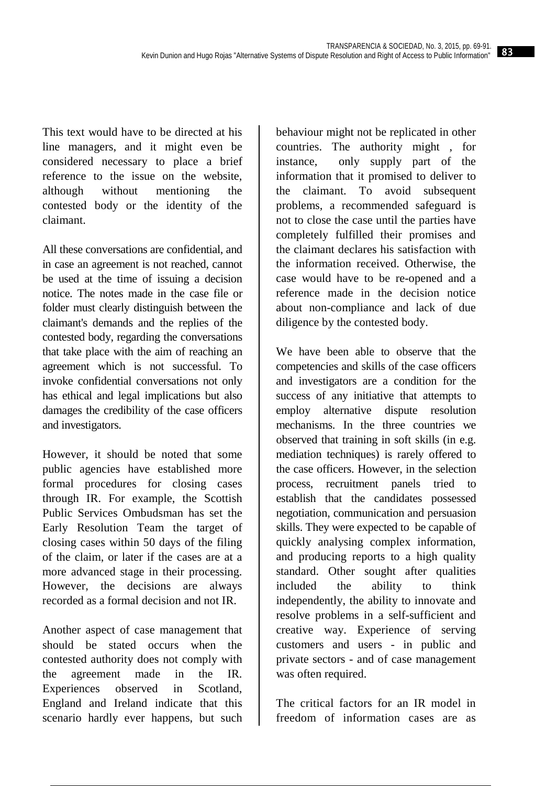This text would have to be directed at his line managers, and it might even be considered necessary to place a brief reference to the issue on the website, although without mentioning the contested body or the identity of the claimant.

All these conversations are confidential, and in case an agreement is not reached, cannot be used at the time of issuing a decision notice. The notes made in the case file or folder must clearly distinguish between the claimant's demands and the replies of the contested body, regarding the conversations that take place with the aim of reaching an agreement which is not successful. To invoke confidential conversations not only has ethical and legal implications but also damages the credibility of the case officers and investigators.

However, it should be noted that some public agencies have established more formal procedures for closing cases through IR. For example, the Scottish Public Services Ombudsman has set the Early Resolution Team the target of closing cases within 50 days of the filing of the claim, or later if the cases are at a more advanced stage in their processing. However, the decisions are always recorded as a formal decision and not IR.

Another aspect of case management that should be stated occurs when the contested authority does not comply with the agreement made in the IR. Experiences observed in Scotland, England and Ireland indicate that this scenario hardly ever happens, but such

behaviour might not be replicated in other countries. The authority might , for instance, only supply part of the information that it promised to deliver to the claimant. To avoid subsequent problems, a recommended safeguard is not to close the case until the parties have completely fulfilled their promises and the claimant declares his satisfaction with the information received. Otherwise, the case would have to be re-opened and a reference made in the decision notice about non-compliance and lack of due diligence by the contested body.

We have been able to observe that the competencies and skills of the case officers and investigators are a condition for the success of any initiative that attempts to employ alternative dispute resolution mechanisms. In the three countries we observed that training in soft skills (in e.g. mediation techniques) is rarely offered to the case officers. However, in the selection process, recruitment panels tried to establish that the candidates possessed negotiation, communication and persuasion skills. They were expected to be capable of quickly analysing complex information, and producing reports to a high quality standard. Other sought after qualities included the ability to think independently, the ability to innovate and resolve problems in a self-sufficient and creative way. Experience of serving customers and users - in public and private sectors - and of case management was often required.

The critical factors for an IR model in freedom of information cases are as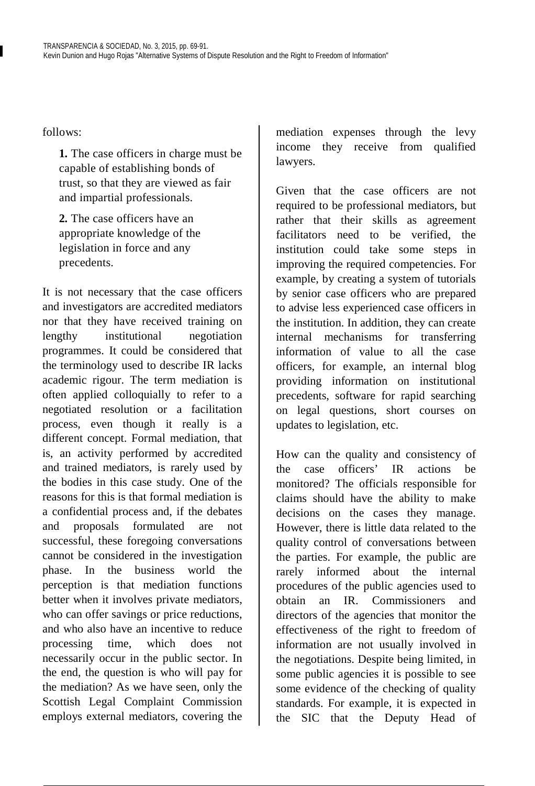follows:

**1.** The case officers in charge must be capable of establishing bonds of trust, so that they are viewed as fair and impartial professionals.

**2.** The case officers have an appropriate knowledge of the legislation in force and any precedents.

It is not necessary that the case officers and investigators are accredited mediators nor that they have received training on lengthy institutional negotiation programmes. It could be considered that the terminology used to describe IR lacks academic rigour. The term mediation is often applied colloquially to refer to a negotiated resolution or a facilitation process, even though it really is a different concept. Formal mediation, that is, an activity performed by accredited and trained mediators, is rarely used by the bodies in this case study. One of the reasons for this is that formal mediation is a confidential process and, if the debates and proposals formulated are not successful, these foregoing conversations cannot be considered in the investigation phase. In the business world the perception is that mediation functions better when it involves private mediators, who can offer savings or price reductions, and who also have an incentive to reduce processing time, which does not necessarily occur in the public sector. In the end, the question is who will pay for the mediation? As we have seen, only the Scottish Legal Complaint Commission employs external mediators, covering the

mediation expenses through the levy income they receive from qualified lawyers.

Given that the case officers are not required to be professional mediators, but rather that their skills as agreement facilitators need to be verified, the institution could take some steps in improving the required competencies. For example, by creating a system of tutorials by senior case officers who are prepared to advise less experienced case officers in the institution. In addition, they can create internal mechanisms for transferring information of value to all the case officers, for example, an internal blog providing information on institutional precedents, software for rapid searching on legal questions, short courses on updates to legislation, etc.

How can the quality and consistency of the case officers' IR actions be monitored? The officials responsible for claims should have the ability to make decisions on the cases they manage. However, there is little data related to the quality control of conversations between the parties. For example, the public are rarely informed about the internal procedures of the public agencies used to obtain an IR. Commissioners and directors of the agencies that monitor the effectiveness of the right to freedom of information are not usually involved in the negotiations. Despite being limited, in some public agencies it is possible to see some evidence of the checking of quality standards. For example, it is expected in the SIC that the Deputy Head of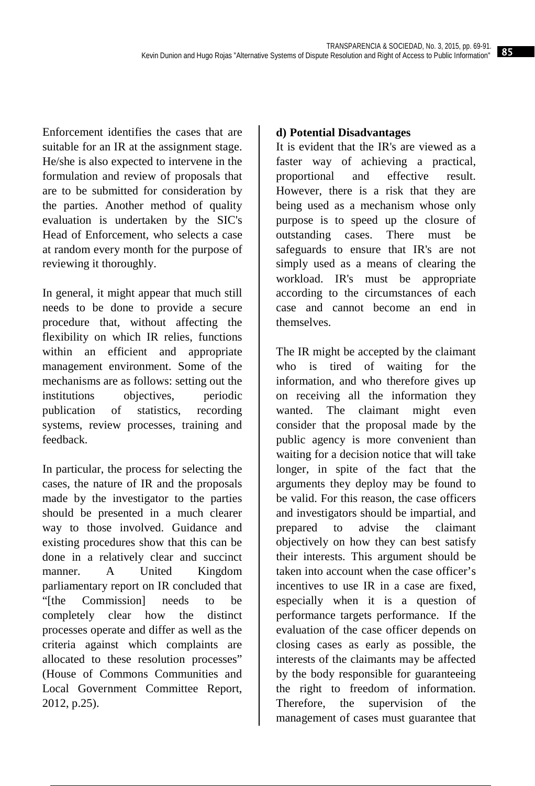Enforcement identifies the cases that are suitable for an IR at the assignment stage. He/she is also expected to intervene in the formulation and review of proposals that are to be submitted for consideration by the parties. Another method of quality evaluation is undertaken by the SIC's Head of Enforcement, who selects a case at random every month for the purpose of reviewing it thoroughly.

In general, it might appear that much still needs to be done to provide a secure procedure that, without affecting the flexibility on which IR relies, functions within an efficient and appropriate management environment. Some of the mechanisms are as follows: setting out the institutions objectives, periodic publication of statistics, recording systems, review processes, training and feedback.

In particular, the process for selecting the cases, the nature of IR and the proposals made by the investigator to the parties should be presented in a much clearer way to those involved. Guidance and existing procedures show that this can be done in a relatively clear and succinct manner. A United Kingdom parliamentary report on IR concluded that "[the Commission] needs to be completely clear how the distinct processes operate and differ as well as the criteria against which complaints are allocated to these resolution processes" (House of Commons Communities and Local Government Committee Report, 2012, p.25).

## **d) Potential Disadvantages**

It is evident that the IR's are viewed as a faster way of achieving a practical, proportional and effective result. However, there is a risk that they are being used as a mechanism whose only purpose is to speed up the closure of outstanding cases. There must be safeguards to ensure that IR's are not simply used as a means of clearing the workload. IR's must be appropriate according to the circumstances of each case and cannot become an end in themselves.

The IR might be accepted by the claimant who is tired of waiting for the information, and who therefore gives up on receiving all the information they wanted. The claimant might even consider that the proposal made by the public agency is more convenient than waiting for a decision notice that will take longer, in spite of the fact that the arguments they deploy may be found to be valid. For this reason, the case officers and investigators should be impartial, and prepared to advise the claimant objectively on how they can best satisfy their interests. This argument should be taken into account when the case officer's incentives to use IR in a case are fixed, especially when it is a question of performance targets performance. If the evaluation of the case officer depends on closing cases as early as possible, the interests of the claimants may be affected by the body responsible for guaranteeing the right to freedom of information. Therefore, the supervision of the management of cases must guarantee that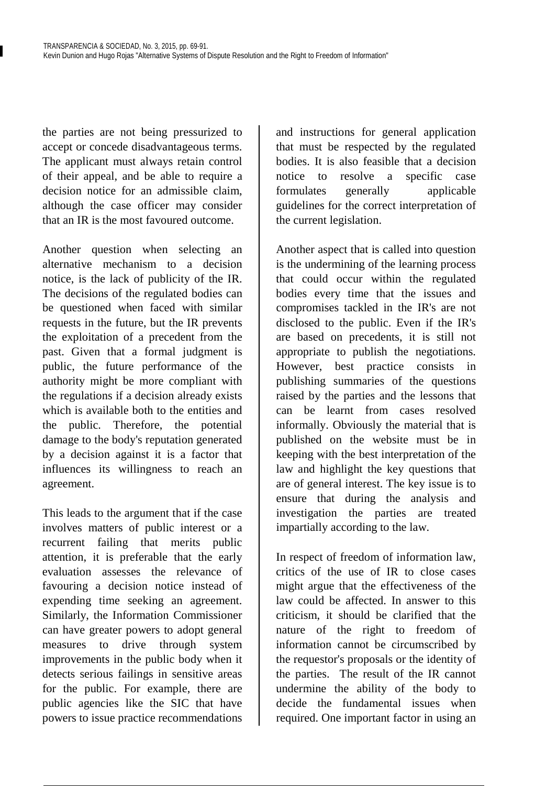the parties are not being pressurized to accept or concede disadvantageous terms. The applicant must always retain control of their appeal, and be able to require a decision notice for an admissible claim, although the case officer may consider that an IR is the most favoured outcome.

Another question when selecting an alternative mechanism to a decision notice, is the lack of publicity of the IR. The decisions of the regulated bodies can be questioned when faced with similar requests in the future, but the IR prevents the exploitation of a precedent from the past. Given that a formal judgment is public, the future performance of the authority might be more compliant with the regulations if a decision already exists which is available both to the entities and the public. Therefore, the potential damage to the body's reputation generated by a decision against it is a factor that influences its willingness to reach an agreement.

This leads to the argument that if the case involves matters of public interest or a recurrent failing that merits public attention, it is preferable that the early evaluation assesses the relevance of favouring a decision notice instead of expending time seeking an agreement. Similarly, the Information Commissioner can have greater powers to adopt general measures to drive through system improvements in the public body when it detects serious failings in sensitive areas for the public. For example, there are public agencies like the SIC that have powers to issue practice recommendations

and instructions for general application that must be respected by the regulated bodies. It is also feasible that a decision notice to resolve a specific case formulates generally applicable guidelines for the correct interpretation of the current legislation.

Another aspect that is called into question is the undermining of the learning process that could occur within the regulated bodies every time that the issues and compromises tackled in the IR's are not disclosed to the public. Even if the IR's are based on precedents, it is still not appropriate to publish the negotiations. However, best practice consists in publishing summaries of the questions raised by the parties and the lessons that can be learnt from cases resolved informally. Obviously the material that is published on the website must be in keeping with the best interpretation of the law and highlight the key questions that are of general interest. The key issue is to ensure that during the analysis and investigation the parties are treated impartially according to the law.

In respect of freedom of information law, critics of the use of IR to close cases might argue that the effectiveness of the law could be affected. In answer to this criticism, it should be clarified that the nature of the right to freedom of information cannot be circumscribed by the requestor's proposals or the identity of the parties. The result of the IR cannot undermine the ability of the body to decide the fundamental issues when required. One important factor in using an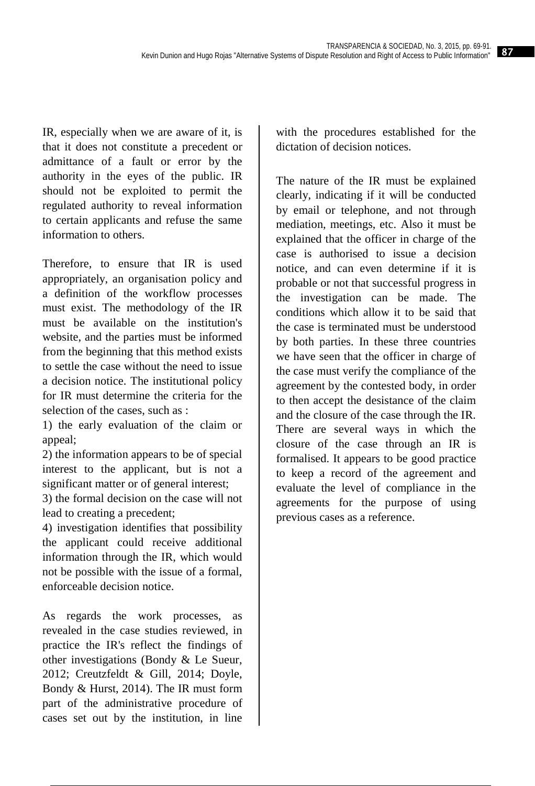IR, especially when we are aware of it, is that it does not constitute a precedent or admittance of a fault or error by the authority in the eyes of the public. IR should not be exploited to permit the regulated authority to reveal information to certain applicants and refuse the same information to others.

Therefore, to ensure that IR is used appropriately, an organisation policy and a definition of the workflow processes must exist. The methodology of the IR must be available on the institution's website, and the parties must be informed from the beginning that this method exists to settle the case without the need to issue a decision notice. The institutional policy for IR must determine the criteria for the selection of the cases, such as :

1) the early evaluation of the claim or appeal;

2) the information appears to be of special interest to the applicant, but is not a significant matter or of general interest;

3) the formal decision on the case will not lead to creating a precedent;

4) investigation identifies that possibility the applicant could receive additional information through the IR, which would not be possible with the issue of a formal, enforceable decision notice.

As regards the work processes, as revealed in the case studies reviewed, in practice the IR's reflect the findings of other investigations (Bondy & Le Sueur, 2012; Creutzfeldt & Gill, 2014; Doyle, Bondy & Hurst, 2014). The IR must form part of the administrative procedure of cases set out by the institution, in line

with the procedures established for the dictation of decision notices.

The nature of the IR must be explained clearly, indicating if it will be conducted by email or telephone, and not through mediation, meetings, etc. Also it must be explained that the officer in charge of the case is authorised to issue a decision notice, and can even determine if it is probable or not that successful progress in the investigation can be made. The conditions which allow it to be said that the case is terminated must be understood by both parties. In these three countries we have seen that the officer in charge of the case must verify the compliance of the agreement by the contested body, in order to then accept the desistance of the claim and the closure of the case through the IR. There are several ways in which the closure of the case through an IR is formalised. It appears to be good practice to keep a record of the agreement and evaluate the level of compliance in the agreements for the purpose of using previous cases as a reference.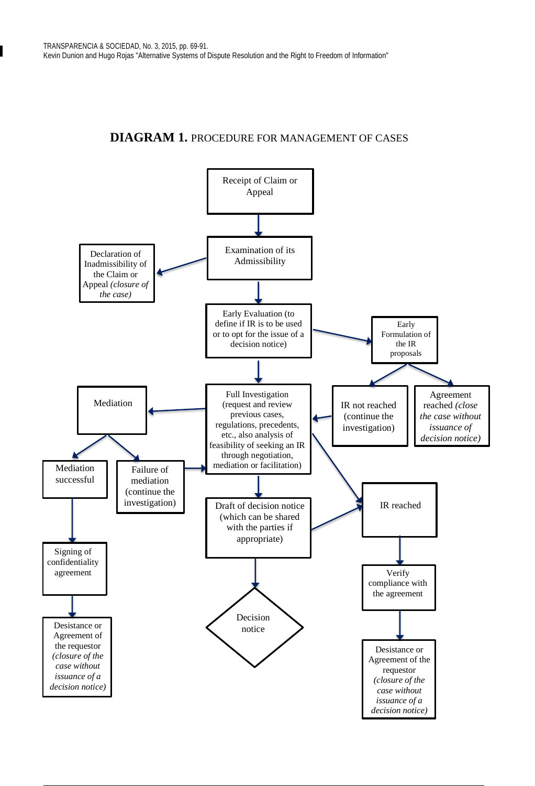## **DIAGRAM 1.** PROCEDURE FOR MANAGEMENT OF CASES

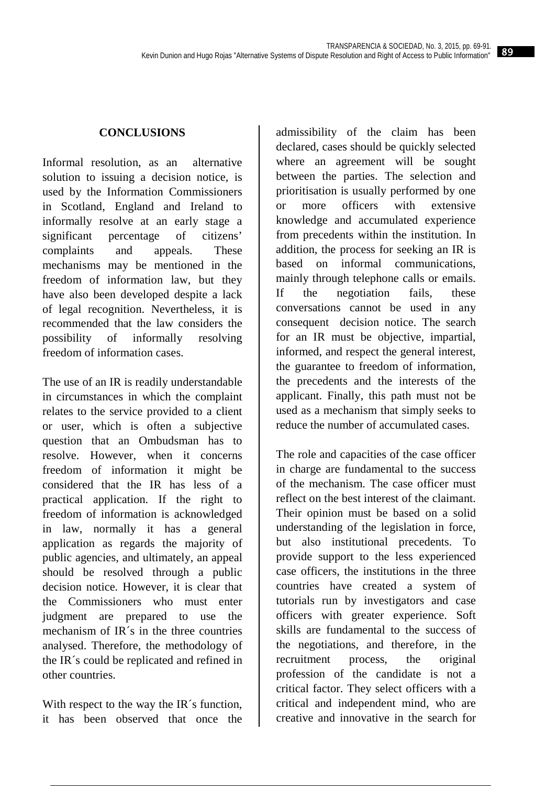## **CONCLUSIONS**

Informal resolution, as an alternative solution to issuing a decision notice, is used by the Information Commissioners in Scotland, England and Ireland to informally resolve at an early stage a significant percentage of citizens' complaints and appeals. These mechanisms may be mentioned in the freedom of information law, but they have also been developed despite a lack of legal recognition. Nevertheless, it is recommended that the law considers the possibility of informally resolving freedom of information cases.

The use of an IR is readily understandable in circumstances in which the complaint relates to the service provided to a client or user, which is often a subjective question that an Ombudsman has to resolve. However, when it concerns freedom of information it might be considered that the IR has less of a practical application. If the right to freedom of information is acknowledged in law, normally it has a general application as regards the majority of public agencies, and ultimately, an appeal should be resolved through a public decision notice. However, it is clear that the Commissioners who must enter judgment are prepared to use the mechanism of IR´s in the three countries analysed. Therefore, the methodology of the IR´s could be replicated and refined in other countries.

With respect to the way the IR's function, it has been observed that once the admissibility of the claim has been declared, cases should be quickly selected where an agreement will be sought between the parties. The selection and prioritisation is usually performed by one or more officers with extensive knowledge and accumulated experience from precedents within the institution. In addition, the process for seeking an IR is based on informal communications, mainly through telephone calls or emails. If the negotiation fails, these conversations cannot be used in any consequent decision notice. The search for an IR must be objective, impartial, informed, and respect the general interest, the guarantee to freedom of information, the precedents and the interests of the applicant. Finally, this path must not be used as a mechanism that simply seeks to reduce the number of accumulated cases.

The role and capacities of the case officer in charge are fundamental to the success of the mechanism. The case officer must reflect on the best interest of the claimant. Their opinion must be based on a solid understanding of the legislation in force, but also institutional precedents. To provide support to the less experienced case officers, the institutions in the three countries have created a system of tutorials run by investigators and case officers with greater experience. Soft skills are fundamental to the success of the negotiations, and therefore, in the recruitment process, the original profession of the candidate is not a critical factor. They select officers with a critical and independent mind, who are creative and innovative in the search for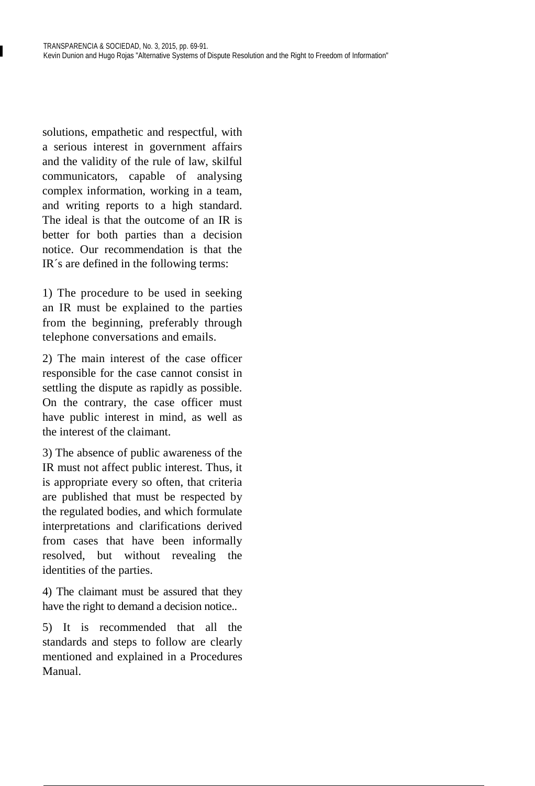solutions, empathetic and respectful, with a serious interest in government affairs and the validity of the rule of law, skilful communicators, capable of analysing complex information, working in a team, and writing reports to a high standard. The ideal is that the outcome of an IR is better for both parties than a decision notice. Our recommendation is that the IR´s are defined in the following terms:

1) The procedure to be used in seeking an IR must be explained to the parties from the beginning, preferably through telephone conversations and emails.

2) The main interest of the case officer responsible for the case cannot consist in settling the dispute as rapidly as possible. On the contrary, the case officer must have public interest in mind, as well as the interest of the claimant.

3) The absence of public awareness of the IR must not affect public interest. Thus, it is appropriate every so often, that criteria are published that must be respected by the regulated bodies, and which formulate interpretations and clarifications derived from cases that have been informally resolved, but without revealing the identities of the parties.

4) The claimant must be assured that they have the right to demand a decision notice..

5) It is recommended that all the standards and steps to follow are clearly mentioned and explained in a Procedures Manual.